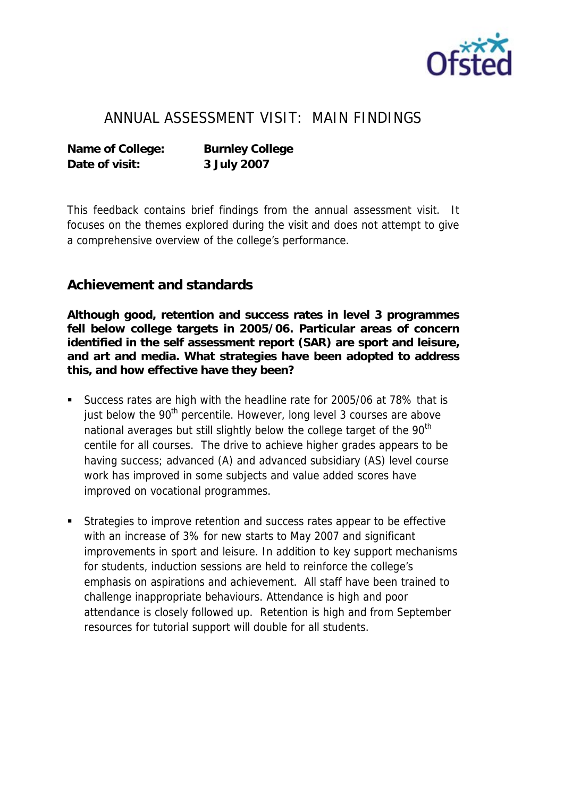

## ANNUAL ASSESSMENT VISIT: MAIN FINDINGS

**Name of College: Burnley College Date of visit: 3 July 2007**

This feedback contains brief findings from the annual assessment visit. It focuses on the themes explored during the visit and does not attempt to give a comprehensive overview of the college's performance.

## **Achievement and standards**

**Although good, retention and success rates in level 3 programmes fell below college targets in 2005/06. Particular areas of concern identified in the self assessment report (SAR) are sport and leisure, and art and media. What strategies have been adopted to address this, and how effective have they been?**

- Success rates are high with the headline rate for 2005/06 at 78% that is just below the 90<sup>th</sup> percentile. However, long level 3 courses are above national averages but still slightly below the college target of the 90<sup>th</sup> centile for all courses. The drive to achieve higher grades appears to be having success; advanced (A) and advanced subsidiary (AS) level course work has improved in some subjects and value added scores have improved on vocational programmes.
- Strategies to improve retention and success rates appear to be effective with an increase of 3% for new starts to May 2007 and significant improvements in sport and leisure. In addition to key support mechanisms for students, induction sessions are held to reinforce the college's emphasis on aspirations and achievement. All staff have been trained to challenge inappropriate behaviours. Attendance is high and poor attendance is closely followed up. Retention is high and from September resources for tutorial support will double for all students.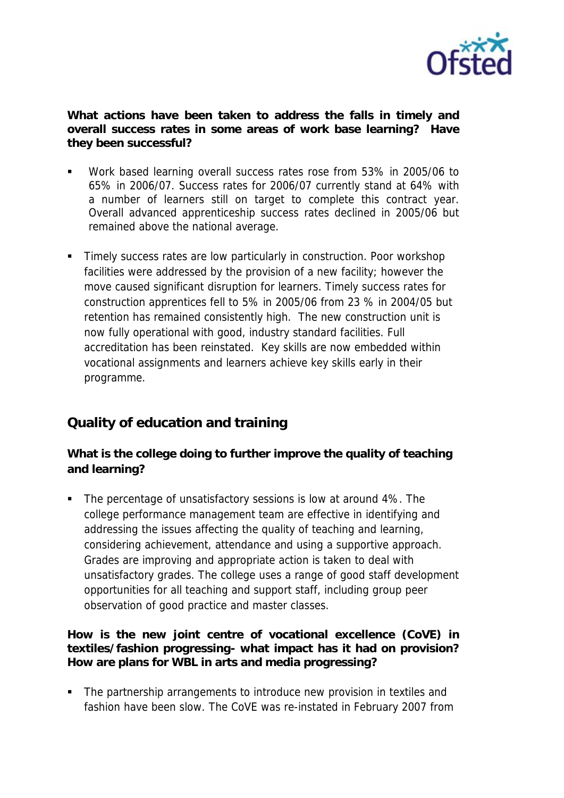

**What actions have been taken to address the falls in timely and overall success rates in some areas of work base learning? Have they been successful?** 

- Work based learning overall success rates rose from 53% in 2005/06 to 65% in 2006/07. Success rates for 2006/07 currently stand at 64% with a number of learners still on target to complete this contract year. Overall advanced apprenticeship success rates declined in 2005/06 but remained above the national average.
- **Timely success rates are low particularly in construction. Poor workshop** facilities were addressed by the provision of a new facility; however the move caused significant disruption for learners. Timely success rates for construction apprentices fell to 5% in 2005/06 from 23 % in 2004/05 but retention has remained consistently high. The new construction unit is now fully operational with good, industry standard facilities. Full accreditation has been reinstated. Key skills are now embedded within vocational assignments and learners achieve key skills early in their programme.

## **Quality of education and training**

**What is the college doing to further improve the quality of teaching and learning?**

• The percentage of unsatisfactory sessions is low at around 4%. The college performance management team are effective in identifying and addressing the issues affecting the quality of teaching and learning, considering achievement, attendance and using a supportive approach. Grades are improving and appropriate action is taken to deal with unsatisfactory grades. The college uses a range of good staff development opportunities for all teaching and support staff, including group peer observation of good practice and master classes.

**How is the new joint centre of vocational excellence (CoVE) in textiles/fashion progressing- what impact has it had on provision? How are plans for WBL in arts and media progressing?** 

• The partnership arrangements to introduce new provision in textiles and fashion have been slow. The CoVE was re-instated in February 2007 from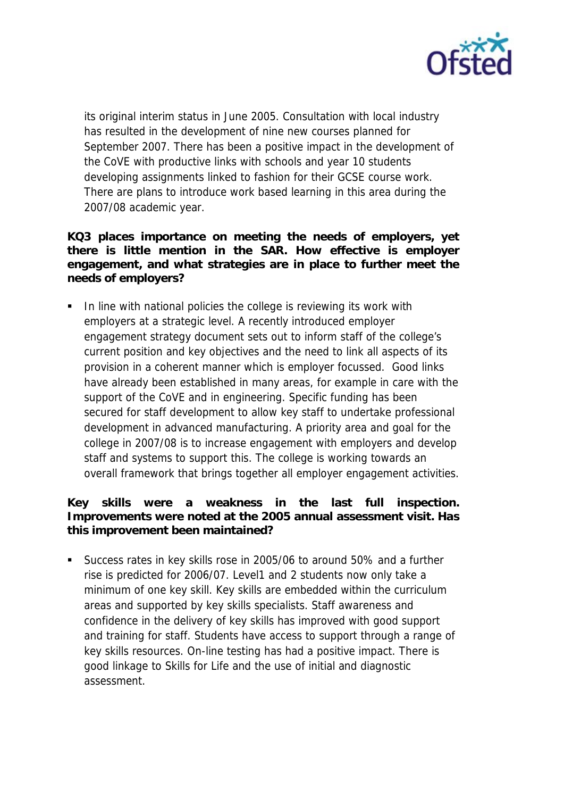

its original interim status in June 2005. Consultation with local industry has resulted in the development of nine new courses planned for September 2007. There has been a positive impact in the development of the CoVE with productive links with schools and year 10 students developing assignments linked to fashion for their GCSE course work. There are plans to introduce work based learning in this area during the 2007/08 academic year.

**KQ3 places importance on meeting the needs of employers, yet there is little mention in the SAR. How effective is employer engagement, and what strategies are in place to further meet the needs of employers?** 

 In line with national policies the college is reviewing its work with employers at a strategic level. A recently introduced employer engagement strategy document sets out to inform staff of the college's current position and key objectives and the need to link all aspects of its provision in a coherent manner which is employer focussed. Good links have already been established in many areas, for example in care with the support of the CoVE and in engineering. Specific funding has been secured for staff development to allow key staff to undertake professional development in advanced manufacturing. A priority area and goal for the college in 2007/08 is to increase engagement with employers and develop staff and systems to support this. The college is working towards an overall framework that brings together all employer engagement activities.

**Key skills were a weakness in the last full inspection. Improvements were noted at the 2005 annual assessment visit. Has this improvement been maintained?** 

 Success rates in key skills rose in 2005/06 to around 50% and a further rise is predicted for 2006/07. Level1 and 2 students now only take a minimum of one key skill. Key skills are embedded within the curriculum areas and supported by key skills specialists. Staff awareness and confidence in the delivery of key skills has improved with good support and training for staff. Students have access to support through a range of key skills resources. On-line testing has had a positive impact. There is good linkage to Skills for Life and the use of initial and diagnostic assessment.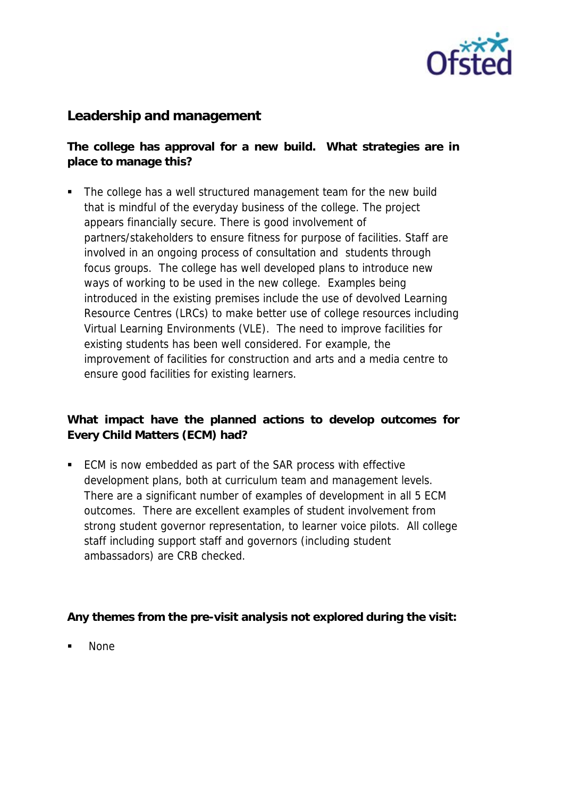

**Leadership and management** 

**The college has approval for a new build. What strategies are in place to manage this?**

 The college has a well structured management team for the new build that is mindful of the everyday business of the college. The project appears financially secure. There is good involvement of partners/stakeholders to ensure fitness for purpose of facilities. Staff are involved in an ongoing process of consultation and students through focus groups. The college has well developed plans to introduce new ways of working to be used in the new college. Examples being introduced in the existing premises include the use of devolved Learning Resource Centres (LRCs) to make better use of college resources including Virtual Learning Environments (VLE). The need to improve facilities for existing students has been well considered. For example, the improvement of facilities for construction and arts and a media centre to ensure good facilities for existing learners.

**What impact have the planned actions to develop outcomes for Every Child Matters (ECM) had?**

■ ECM is now embedded as part of the SAR process with effective development plans, both at curriculum team and management levels. There are a significant number of examples of development in all 5 ECM outcomes. There are excellent examples of student involvement from strong student governor representation, to learner voice pilots. All college staff including support staff and governors (including student ambassadors) are CRB checked.

**Any themes from the pre-visit analysis not explored during the visit:**

None